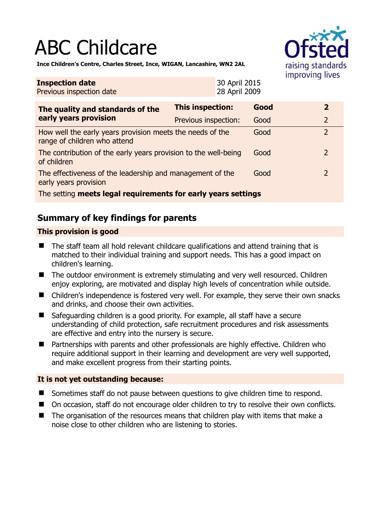# ABC Childcare



**Ince Children's Centre, Charles Street, Ince, WIGAN, Lancashire, WN2 2AL** 

| <b>Inspection date</b><br>Previous inspection date                                        | 30 April 2015<br>28 April 2009 |      |  |                |
|-------------------------------------------------------------------------------------------|--------------------------------|------|--|----------------|
| The quality and standards of the<br>early years provision                                 | <b>This inspection:</b>        | Good |  | $\overline{2}$ |
|                                                                                           | Previous inspection:           | Good |  | $\overline{2}$ |
| How well the early years provision meets the needs of the<br>range of children who attend |                                | Good |  | $\overline{2}$ |
| The contribution of the early years provision to the well-being<br>of children            |                                | Good |  | $\overline{2}$ |
| The effectiveness of the leadership and management of the<br>early years provision        |                                | Good |  | 2              |
| The setting meets legal requirements for early years settings                             |                                |      |  |                |

# **Summary of key findings for parents**

## **This provision is good**

- The staff team all hold relevant childcare qualifications and attend training that is matched to their individual training and support needs. This has a good impact on children's learning.
- The outdoor environment is extremely stimulating and very well resourced. Children enjoy exploring, are motivated and display high levels of concentration while outside.
- Children's independence is fostered very well. For example, they serve their own snacks and drinks, and choose their own activities.
- Safeguarding children is a good priority. For example, all staff have a secure understanding of child protection, safe recruitment procedures and risk assessments are effective and entry into the nursery is secure.
- Partnerships with parents and other professionals are highly effective. Children who require additional support in their learning and development are very well supported, and make excellent progress from their starting points.

## **It is not yet outstanding because:**

- Sometimes staff do not pause between questions to give children time to respond.
- On occasion, staff do not encourage older children to try to resolve their own conflicts.
- The organisation of the resources means that children play with items that make a noise close to other children who are listening to stories.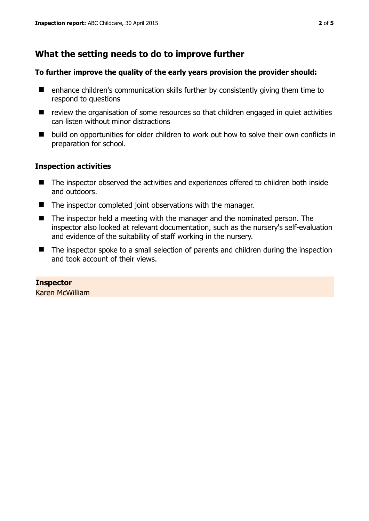# **What the setting needs to do to improve further**

#### **To further improve the quality of the early years provision the provider should:**

- enhance children's communication skills further by consistently giving them time to respond to questions
- review the organisation of some resources so that children engaged in quiet activities can listen without minor distractions
- build on opportunities for older children to work out how to solve their own conflicts in preparation for school.

### **Inspection activities**

- The inspector observed the activities and experiences offered to children both inside and outdoors.
- The inspector completed joint observations with the manager.
- The inspector held a meeting with the manager and the nominated person. The inspector also looked at relevant documentation, such as the nursery's self-evaluation and evidence of the suitability of staff working in the nursery.
- The inspector spoke to a small selection of parents and children during the inspection and took account of their views.

**Inspector**  Karen McWilliam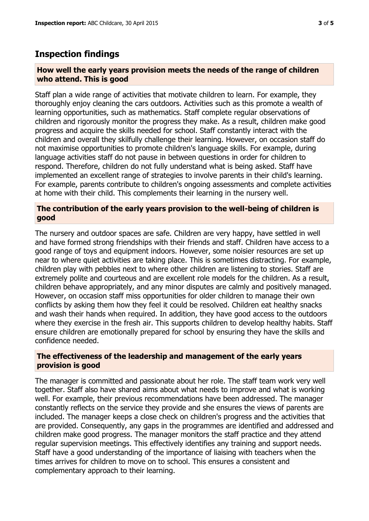## **Inspection findings**

#### **How well the early years provision meets the needs of the range of children who attend. This is good**

Staff plan a wide range of activities that motivate children to learn. For example, they thoroughly enjoy cleaning the cars outdoors. Activities such as this promote a wealth of learning opportunities, such as mathematics. Staff complete regular observations of children and rigorously monitor the progress they make. As a result, children make good progress and acquire the skills needed for school. Staff constantly interact with the children and overall they skilfully challenge their learning. However, on occasion staff do not maximise opportunities to promote children's language skills. For example, during language activities staff do not pause in between questions in order for children to respond. Therefore, children do not fully understand what is being asked. Staff have implemented an excellent range of strategies to involve parents in their child's learning. For example, parents contribute to children's ongoing assessments and complete activities at home with their child. This complements their learning in the nursery well.

#### **The contribution of the early years provision to the well-being of children is good**

The nursery and outdoor spaces are safe. Children are very happy, have settled in well and have formed strong friendships with their friends and staff. Children have access to a good range of toys and equipment indoors. However, some noisier resources are set up near to where quiet activities are taking place. This is sometimes distracting. For example, children play with pebbles next to where other children are listening to stories. Staff are extremely polite and courteous and are excellent role models for the children. As a result, children behave appropriately, and any minor disputes are calmly and positively managed. However, on occasion staff miss opportunities for older children to manage their own conflicts by asking them how they feel it could be resolved. Children eat healthy snacks and wash their hands when required. In addition, they have good access to the outdoors where they exercise in the fresh air. This supports children to develop healthy habits. Staff ensure children are emotionally prepared for school by ensuring they have the skills and confidence needed.

#### **The effectiveness of the leadership and management of the early years provision is good**

The manager is committed and passionate about her role. The staff team work very well together. Staff also have shared aims about what needs to improve and what is working well. For example, their previous recommendations have been addressed. The manager constantly reflects on the service they provide and she ensures the views of parents are included. The manager keeps a close check on children's progress and the activities that are provided. Consequently, any gaps in the programmes are identified and addressed and children make good progress. The manager monitors the staff practice and they attend regular supervision meetings. This effectively identifies any training and support needs. Staff have a good understanding of the importance of liaising with teachers when the times arrives for children to move on to school. This ensures a consistent and complementary approach to their learning.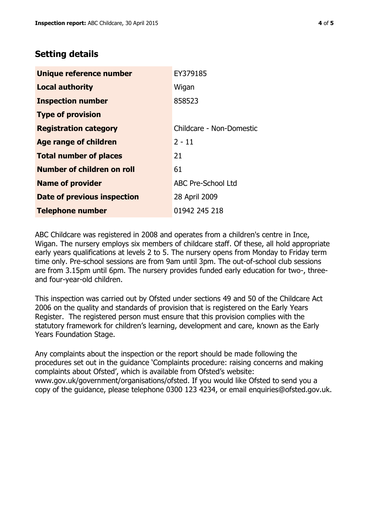# **Setting details**

| Unique reference number       | EY379185                  |  |
|-------------------------------|---------------------------|--|
| <b>Local authority</b>        | Wigan                     |  |
| <b>Inspection number</b>      | 858523                    |  |
| <b>Type of provision</b>      |                           |  |
| <b>Registration category</b>  | Childcare - Non-Domestic  |  |
| <b>Age range of children</b>  | $2 - 11$                  |  |
| <b>Total number of places</b> | 21                        |  |
| Number of children on roll    | 61                        |  |
| <b>Name of provider</b>       | <b>ABC Pre-School Ltd</b> |  |
| Date of previous inspection   | 28 April 2009             |  |
| <b>Telephone number</b>       | 01942 245 218             |  |

ABC Childcare was registered in 2008 and operates from a children's centre in Ince, Wigan. The nursery employs six members of childcare staff. Of these, all hold appropriate early years qualifications at levels 2 to 5. The nursery opens from Monday to Friday term time only. Pre-school sessions are from 9am until 3pm. The out-of-school club sessions are from 3.15pm until 6pm. The nursery provides funded early education for two-, threeand four-year-old children.

This inspection was carried out by Ofsted under sections 49 and 50 of the Childcare Act 2006 on the quality and standards of provision that is registered on the Early Years Register. The registered person must ensure that this provision complies with the statutory framework for children's learning, development and care, known as the Early Years Foundation Stage.

Any complaints about the inspection or the report should be made following the procedures set out in the guidance 'Complaints procedure: raising concerns and making complaints about Ofsted', which is available from Ofsted's website: www.gov.uk/government/organisations/ofsted. If you would like Ofsted to send you a copy of the guidance, please telephone 0300 123 4234, or email enquiries@ofsted.gov.uk.